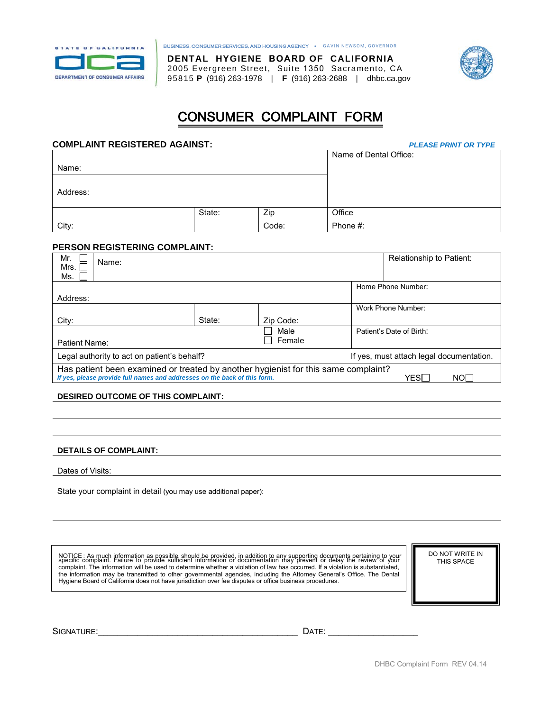

BUSINESS, CONSUMER SERVICES, AND HOUSING AGENCY • GAVIN NEWSOM, GOVERNOR

 95815 **P** (916) 263-1978 | **F** (916) 263-2688 | [dhbc.ca.gov](https://dhbc.ca.gov) **DENTAL HYGIENE BOARD OF CALIFORNIA**  2005 Evergreen Street, Suite 1350 Sacramento, CA



# CONSUMER COMPLAINT FORM

### **COMPLAINT REGISTERED AGAINST:** *PLEASE PRINT OR TYPE*

| <b>COMPLAINT REGISTERED AGAINST:</b> | <b>PLEASE PRINT OR TYPE</b> |       |                        |
|--------------------------------------|-----------------------------|-------|------------------------|
|                                      |                             |       | Name of Dental Office: |
| Name:                                |                             |       |                        |
|                                      |                             |       |                        |
| Address:                             |                             |       |                        |
|                                      |                             |       |                        |
|                                      | State:                      | Zip   | Office                 |
| City:                                |                             | Code: | Phone #:               |

### **PERSON REGISTERING COMPLAINT:**

|                                                                                                                                                                                     |           | Relationship to Patient: |  |  |
|-------------------------------------------------------------------------------------------------------------------------------------------------------------------------------------|-----------|--------------------------|--|--|
|                                                                                                                                                                                     |           |                          |  |  |
|                                                                                                                                                                                     |           |                          |  |  |
|                                                                                                                                                                                     |           | Home Phone Number:       |  |  |
| Address:                                                                                                                                                                            |           |                          |  |  |
|                                                                                                                                                                                     |           | Work Phone Number:       |  |  |
| State:                                                                                                                                                                              | Zip Code: |                          |  |  |
|                                                                                                                                                                                     | Male      | Patient's Date of Birth: |  |  |
|                                                                                                                                                                                     | Female    |                          |  |  |
| Legal authority to act on patient's behalf?                                                                                                                                         |           |                          |  |  |
| Has patient been examined or treated by another hygienist for this same complaint?<br>If yes, please provide full names and addresses on the back of this form.<br>$YES\Box$<br>NOT |           |                          |  |  |
|                                                                                                                                                                                     |           |                          |  |  |

### **DESIRED OUTCOME OF THIS COMPLAINT:**

### **DETAILS OF COMPLAINT:**

Dates of Visits:

State your complaint in detail (you may use additional paper):

be used to determine whether a violation of law has occurred.<br>nitted to other governmental agencies, including the Attorney NOTICE : As much information as possible should be provided, in addition to any supporting documents pertaining to your<br>specific complaint. Failure to provide sufficient information or documentation may prevent or delay th Hygiene Board of California does not have jurisdiction over fee disputes or office business procedures.

DO NOT WRITE IN THIS SPACE

SIGNATURE:\_\_\_\_\_\_\_\_\_\_\_\_\_\_\_\_\_\_\_\_\_\_\_\_\_\_\_\_\_\_\_\_\_\_\_\_\_\_\_\_ DATE: \_\_\_\_\_\_\_\_\_\_\_\_\_\_\_\_\_\_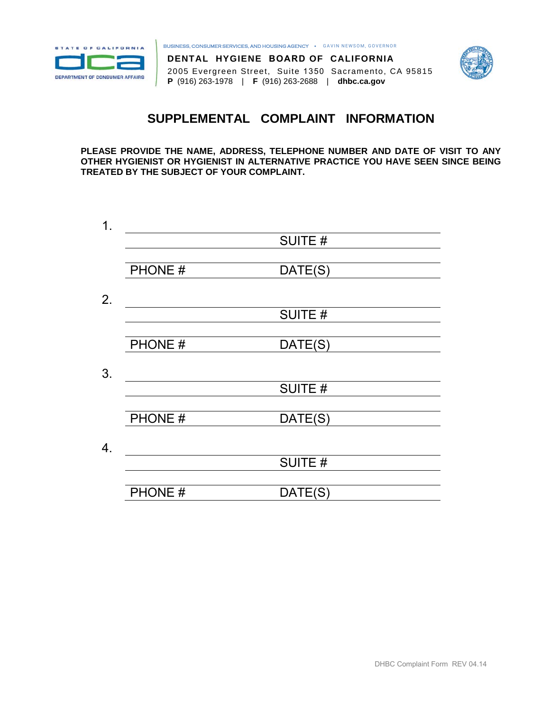

BUSINESS, CONSUMER SERVICES, AND HOUSING AGENCY • GAVIN NEWSOM, GOVERNOR





 **P** (916) 263-1978 | **F** (916) 263-2688 | **dhb[c.ca.gov](https://dhbc.ca.gov)** 2005 Evergreen Street, Suite 1350 Sacramento, CA 95815

# **SUPPLEMENTAL COMPLAINT INFORMATION**

 **PLEASE PROVIDE THE NAME, ADDRESS, TELEPHONE NUMBER AND DATE OF VISIT TO ANY OTHER HYGIENIST OR HYGIENIST IN ALTERNATIVE PRACTICE YOU HAVE SEEN SINCE BEING TREATED BY THE SUBJECT OF YOUR COMPLAINT.** 

| $\mathbf 1$ .    |        |               |
|------------------|--------|---------------|
|                  |        | SUITE #       |
|                  |        |               |
|                  | PHONE# | DATE(S)       |
|                  |        |               |
| 2.               |        |               |
|                  |        | SUITE #       |
|                  |        |               |
|                  | PHONE# | DATE(S)       |
|                  |        |               |
| 3.               |        |               |
|                  |        | <b>SUITE#</b> |
|                  |        |               |
|                  | PHONE# | DATE(S)       |
|                  |        |               |
| $\overline{4}$ . |        |               |
|                  |        | SUITE #       |
|                  |        |               |
|                  | PHONE# | DATE(S)       |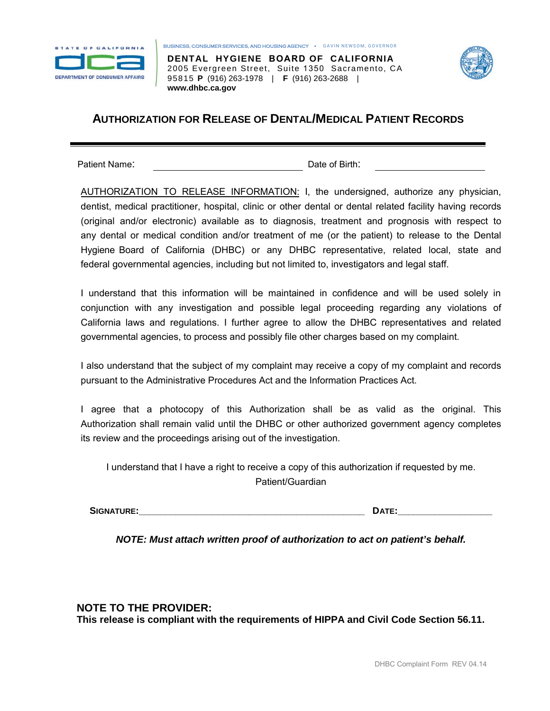

BUSINESS, CONSUMER SERVICES, AND HOUSING AGENCY • GAVIN NEWSOM, GOVERNOR

 95815 **P** (916) 263-1978 | **F** (916) 263-2688 | **DENTAL HYGIENE BOARD OF CALIFORNIA**  2005 Evergreen Street, Suite 1350 Sacramento, CA **www.dhb[c.ca.gov](http://www.dhbc.ca.gov)**



# **AUTHORIZATION FOR RELEASE OF DENTAL/MEDICAL PATIENT RECORDS**

Patient Name: Date of Birth:

 dentist, medical practitioner, hospital, clinic or other dental or dental related facility having records (original and/or electronic) available as to diagnosis, treatment and prognosis with respect to any dental or medical condition and/or treatment of me (or the patient) to release to the Dental AUTHORIZATION TO RELEASE INFORMATION: I, the undersigned, authorize any physician, Hygiene Board of California (DHBC) or any DHBC representative, related local, state and federal governmental agencies, including but not limited to, investigators and legal staff.

 I understand that this information will be maintained in confidence and will be used solely in conjunction with any investigation and possible legal proceeding regarding any violations of California laws and regulations. I further agree to allow the DHBC representatives and related governmental agencies, to process and possibly file other charges based on my complaint.

 I also understand that the subject of my complaint may receive a copy of my complaint and records pursuant to the Administrative Procedures Act and the Information Practices Act.

 I agree that a photocopy of this Authorization shall be as valid as the original. This Authorization shall remain valid until the DHBC or other authorized government agency completes its review and the proceedings arising out of the investigation.

 I understand that I have a right to receive a copy of this authorization if requested by me. Patient/Guardian

**SIGNATURE:\_\_\_\_\_\_\_\_\_\_\_\_\_\_\_\_\_\_\_\_\_\_\_\_\_\_\_\_\_\_\_\_\_\_\_\_\_\_\_\_\_\_\_ DATE:\_\_\_\_\_\_\_\_\_\_\_\_\_\_\_\_\_\_** 

*NOTE: Must attach written proof of authorization to act on patient's behalf.* 

**NOTE TO THE PROVIDER: This release is compliant with the requirements of HIPPA and Civil Code Section 56.11.**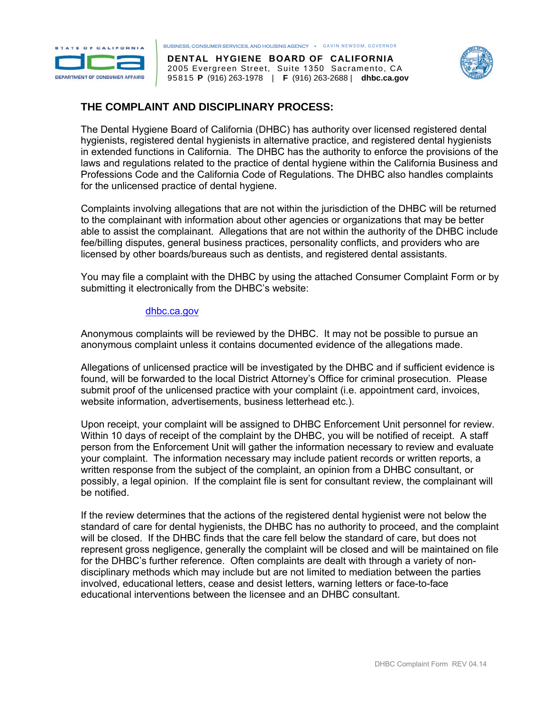

8TAT ■ **011 CA <sup>L</sup> Hl'QANIA.**  BUSINESS, CONSUMER SERVICES, AND HOUSING AGENCY • GAVIN NEWSOM, GOVERNOR

 95815 **P** (916) 263-1978 | **F** (916) 263-2688 | **dhb[c.ca.gov](https://dhbc.ca.gov) DENTAL HYGIENE BOARD OF CALIFORNIA**  2005 Evergreen Street, Suite 1350 Sacramento, CA



# **THE COMPLAINT AND DISCIPLINARY PROCESS:**

 The Dental Hygiene Board of California (DHBC) has authority over licensed registered dental hygienists, registered dental hygienists in alternative practice, and registered dental hygienists in extended functions in California. The DHBC has the authority to enforce the provisions of the laws and regulations related to the practice of dental hygiene within the California Business and Professions Code and the California Code of Regulations. The DHBC also handles complaints for the unlicensed practice of dental hygiene.

 Complaints involving allegations that are not within the jurisdiction of the DHBC will be returned to the complainant with information about other agencies or organizations that may be better able to assist the complainant. Allegations that are not within the authority of the DHBC include fee/billing disputes, general business practices, personality conflicts, and providers who are licensed by other boards/bureaus such as dentists, and registered dental assistants.

 You may file a complaint with the DHBC by using the attached Consumer Complaint Form or by submitting it electronically from the DHBC's website:

### dhb[c.ca.gov](https://dhbc.ca.gov)

 Anonymous complaints will be reviewed by the DHBC. It may not be possible to pursue an anonymous complaint unless it contains documented evidence of the allegations made.

 Allegations of unlicensed practice will be investigated by the DHBC and if sufficient evidence is found, will be forwarded to the local District Attorney's Office for criminal prosecution. Please submit proof of the unlicensed practice with your complaint (i.e. appointment card, invoices, website information, advertisements, business letterhead etc.).

 Upon receipt, your complaint will be assigned to DHBC Enforcement Unit personnel for review. Within 10 days of receipt of the complaint by the DHBC, you will be notified of receipt. A staff person from the Enforcement Unit will gather the information necessary to review and evaluate your complaint. The information necessary may include patient records or written reports, a written response from the subject of the complaint, an opinion from a DHBC consultant, or possibly, a legal opinion. If the complaint file is sent for consultant review, the complainant will be notified.

 If the review determines that the actions of the registered dental hygienist were not below the standard of care for dental hygienists, the DHBC has no authority to proceed, and the complaint will be closed. If the DHBC finds that the care fell below the standard of care, but does not represent gross negligence, generally the complaint will be closed and will be maintained on file for the DHBC's further reference. Often complaints are dealt with through a variety of non- disciplinary methods which may include but are not limited to mediation between the parties involved, educational letters, cease and desist letters, warning letters or face-to-face educational interventions between the licensee and an DHBC consultant.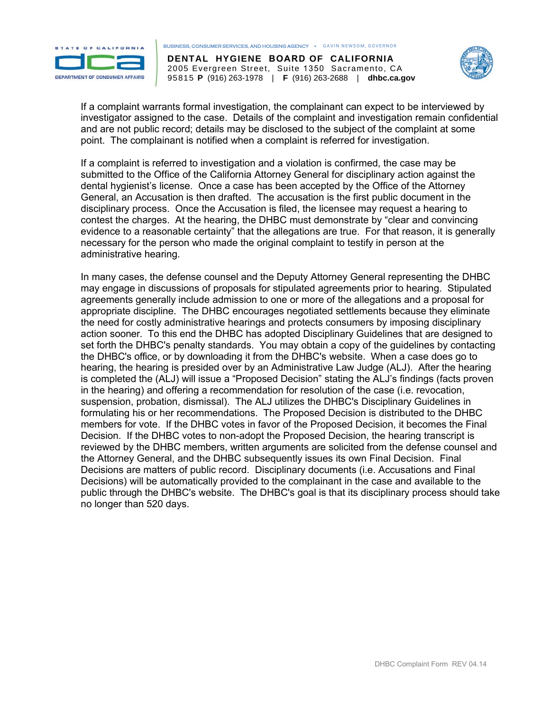

**ETATE OF CALIFORNIA** BUSINESS, CONSUMER SERVICES, AND HOUSING AGENCY • GAVIN NEWSOM, GOVERNOR

 95815 **P** (916) 263-1978 | **F** (916) 263-2688 | **dhb[c.ca.gov](https://dhbc.ca.gov) DENTAL HYGIENE BOARD OF CALIFORNIA**  2005 Evergreen Street, Suite 1350 Sacramento, CA



 If a complaint warrants formal investigation, the complainant can expect to be interviewed by investigator assigned to the case. Details of the complaint and investigation remain confidential and are not public record; details may be disclosed to the subject of the complaint at some point. The complainant is notified when a complaint is referred for investigation.

 If a complaint is referred to investigation and a violation is confirmed, the case may be submitted to the Office of the California Attorney General for disciplinary action against the dental hygienist's license. Once a case has been accepted by the Office of the Attorney General, an Accusation is then drafted. The accusation is the first public document in the disciplinary process. Once the Accusation is filed, the licensee may request a hearing to contest the charges. At the hearing, the DHBC must demonstrate by "clear and convincing evidence to a reasonable certainty" that the allegations are true. For that reason, it is generally necessary for the person who made the original complaint to testify in person at the administrative hearing.

 In many cases, the defense counsel and the Deputy Attorney General representing the DHBC may engage in discussions of proposals for stipulated agreements prior to hearing. Stipulated agreements generally include admission to one or more of the allegations and a proposal for appropriate discipline. The DHBC encourages negotiated settlements because they eliminate the need for costly administrative hearings and protects consumers by imposing disciplinary action sooner. To this end the DHBC has adopted Disciplinary Guidelines that are designed to set forth the DHBC's penalty standards. You may obtain a copy of the guidelines by contacting the DHBC's office, or by downloading it from the DHBC's website. When a case does go to hearing, the hearing is presided over by an Administrative Law Judge (ALJ). After the hearing is completed the (ALJ) will issue a "Proposed Decision" stating the ALJ's findings (facts proven in the hearing) and offering a recommendation for resolution of the case (i.e. revocation, suspension, probation, dismissal). The ALJ utilizes the DHBC's Disciplinary Guidelines in formulating his or her recommendations. The Proposed Decision is distributed to the DHBC members for vote. If the DHBC votes in favor of the Proposed Decision, it becomes the Final Decision. If the DHBC votes to non-adopt the Proposed Decision, the hearing transcript is reviewed by the DHBC members, written arguments are solicited from the defense counsel and the Attorney General, and the DHBC subsequently issues its own Final Decision. Final Decisions are matters of public record. Disciplinary documents (i.e. Accusations and Final Decisions) will be automatically provided to the complainant in the case and available to the public through the DHBC's website. The DHBC's goal is that its disciplinary process should take no longer than 520 days.